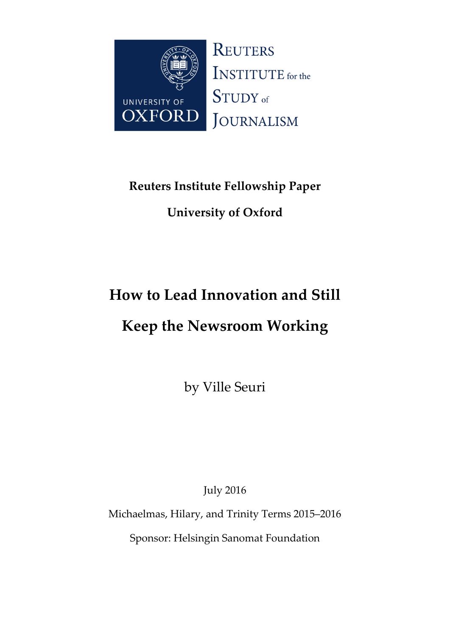

# **Reuters Institute Fellowship Paper**

# **University of Oxford**

# **How to Lead Innovation and Still**

# **Keep the Newsroom Working**

by Ville Seuri

July 2016

Michaelmas, Hilary, and Trinity Terms 2015–2016

Sponsor: Helsingin Sanomat Foundation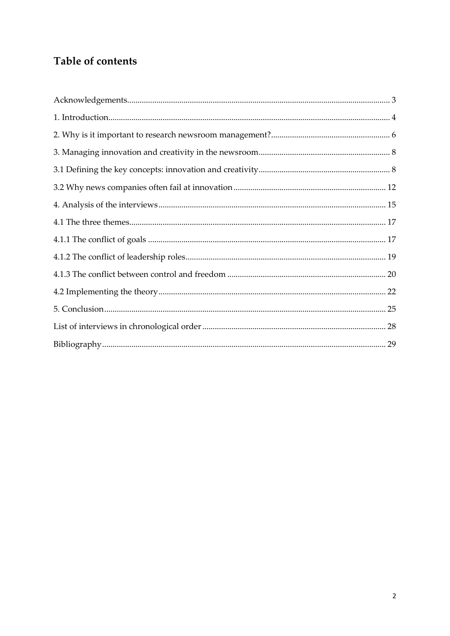# Table of contents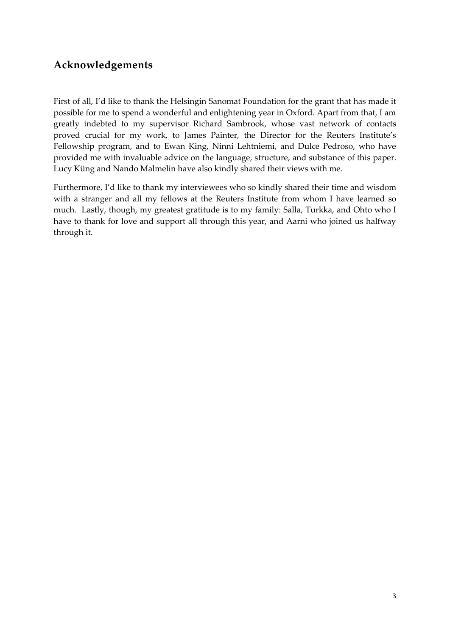## **Acknowledgements**

First of all, I'd like to thank the Helsingin Sanomat Foundation for the grant that has made it possible for me to spend a wonderful and enlightening year in Oxford. Apart from that, I am greatly indebted to my supervisor Richard Sambrook, whose vast network of contacts proved crucial for my work, to James Painter, the Director for the Reuters Institute's Fellowship program, and to Ewan King, Ninni Lehtniemi, and Dulce Pedroso, who have provided me with invaluable advice on the language, structure, and substance of this paper. Lucy Küng and Nando Malmelin have also kindly shared their views with me.

Furthermore, I'd like to thank my interviewees who so kindly shared their time and wisdom with a stranger and all my fellows at the Reuters Institute from whom I have learned so much. Lastly, though, my greatest gratitude is to my family: Salla, Turkka, and Ohto who I have to thank for love and support all through this year, and Aarni who joined us halfway through it.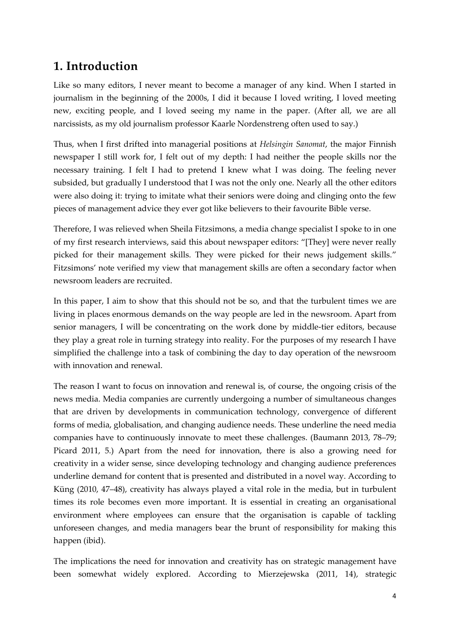## **1. Introduction**

Like so many editors, I never meant to become a manager of any kind. When I started in journalism in the beginning of the 2000s, I did it because I loved writing, I loved meeting new, exciting people, and I loved seeing my name in the paper. (After all, we are all narcissists, as my old journalism professor Kaarle Nordenstreng often used to say.)

Thus, when I first drifted into managerial positions at *Helsingin Sanomat*, the major Finnish newspaper I still work for, I felt out of my depth: I had neither the people skills nor the necessary training. I felt I had to pretend I knew what I was doing. The feeling never subsided, but gradually I understood that I was not the only one. Nearly all the other editors were also doing it: trying to imitate what their seniors were doing and clinging onto the few pieces of management advice they ever got like believers to their favourite Bible verse.

Therefore, I was relieved when Sheila Fitzsimons, a media change specialist I spoke to in one of my first research interviews, said this about newspaper editors: "[They] were never really picked for their management skills. They were picked for their news judgement skills." Fitzsimons' note verified my view that management skills are often a secondary factor when newsroom leaders are recruited.

In this paper, I aim to show that this should not be so, and that the turbulent times we are living in places enormous demands on the way people are led in the newsroom. Apart from senior managers, I will be concentrating on the work done by middle-tier editors, because they play a great role in turning strategy into reality. For the purposes of my research I have simplified the challenge into a task of combining the day to day operation of the newsroom with innovation and renewal.

The reason I want to focus on innovation and renewal is, of course, the ongoing crisis of the news media. Media companies are currently undergoing a number of simultaneous changes that are driven by developments in communication technology, convergence of different forms of media, globalisation, and changing audience needs. These underline the need media companies have to continuously innovate to meet these challenges. (Baumann 2013, 78–79; Picard 2011, 5.) Apart from the need for innovation, there is also a growing need for creativity in a wider sense, since developing technology and changing audience preferences underline demand for content that is presented and distributed in a novel way. According to Küng (2010, 47–48), creativity has always played a vital role in the media, but in turbulent times its role becomes even more important. It is essential in creating an organisational environment where employees can ensure that the organisation is capable of tackling unforeseen changes, and media managers bear the brunt of responsibility for making this happen (ibid).

The implications the need for innovation and creativity has on strategic management have been somewhat widely explored. According to Mierzejewska (2011, 14), strategic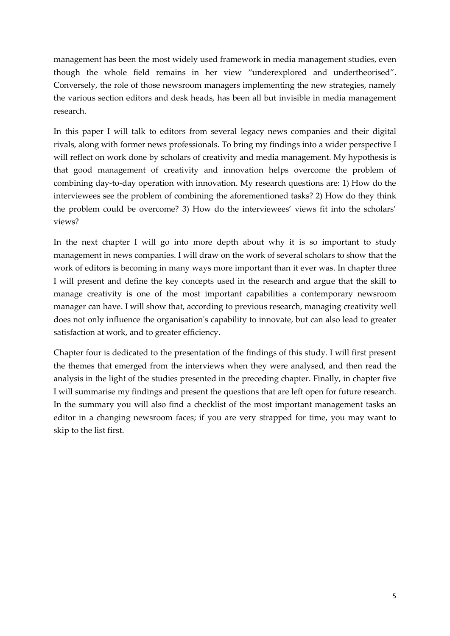management has been the most widely used framework in media management studies, even though the whole field remains in her view "underexplored and undertheorised". Conversely, the role of those newsroom managers implementing the new strategies, namely the various section editors and desk heads, has been all but invisible in media management research.

In this paper I will talk to editors from several legacy news companies and their digital rivals, along with former news professionals. To bring my findings into a wider perspective I will reflect on work done by scholars of creativity and media management. My hypothesis is that good management of creativity and innovation helps overcome the problem of combining day-to-day operation with innovation. My research questions are: 1) How do the interviewees see the problem of combining the aforementioned tasks? 2) How do they think the problem could be overcome? 3) How do the interviewees' views fit into the scholars' views?

In the next chapter I will go into more depth about why it is so important to study management in news companies. I will draw on the work of several scholars to show that the work of editors is becoming in many ways more important than it ever was. In chapter three I will present and define the key concepts used in the research and argue that the skill to manage creativity is one of the most important capabilities a contemporary newsroom manager can have. I will show that, according to previous research, managing creativity well does not only influence the organisation's capability to innovate, but can also lead to greater satisfaction at work, and to greater efficiency.

Chapter four is dedicated to the presentation of the findings of this study. I will first present the themes that emerged from the interviews when they were analysed, and then read the analysis in the light of the studies presented in the preceding chapter. Finally, in chapter five I will summarise my findings and present the questions that are left open for future research. In the summary you will also find a checklist of the most important management tasks an editor in a changing newsroom faces; if you are very strapped for time, you may want to skip to the list first.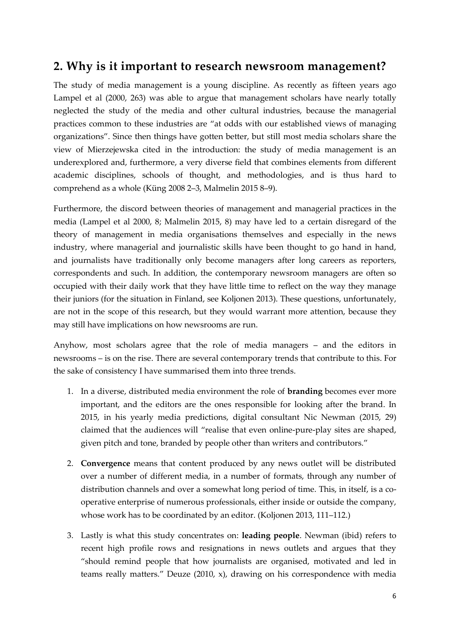## **2. Why is it important to research newsroom management?**

The study of media management is a young discipline. As recently as fifteen years ago Lampel et al (2000, 263) was able to argue that management scholars have nearly totally neglected the study of the media and other cultural industries, because the managerial practices common to these industries are "at odds with our established views of managing organizations". Since then things have gotten better, but still most media scholars share the view of Mierzejewska cited in the introduction: the study of media management is an underexplored and, furthermore, a very diverse field that combines elements from different academic disciplines, schools of thought, and methodologies, and is thus hard to comprehend as a whole (Küng 2008 2–3, Malmelin 2015 8–9).

Furthermore, the discord between theories of management and managerial practices in the media (Lampel et al 2000, 8; Malmelin 2015, 8) may have led to a certain disregard of the theory of management in media organisations themselves and especially in the news industry, where managerial and journalistic skills have been thought to go hand in hand, and journalists have traditionally only become managers after long careers as reporters, correspondents and such. In addition, the contemporary newsroom managers are often so occupied with their daily work that they have little time to reflect on the way they manage their juniors (for the situation in Finland, see Koljonen 2013). These questions, unfortunately, are not in the scope of this research, but they would warrant more attention, because they may still have implications on how newsrooms are run.

Anyhow, most scholars agree that the role of media managers – and the editors in newsrooms – is on the rise. There are several contemporary trends that contribute to this. For the sake of consistency I have summarised them into three trends.

- 1. In a diverse, distributed media environment the role of **branding** becomes ever more important, and the editors are the ones responsible for looking after the brand. In 2015, in his yearly media predictions, digital consultant Nic Newman (2015, 29) claimed that the audiences will "realise that even online-pure-play sites are shaped, given pitch and tone, branded by people other than writers and contributors."
- 2. **Convergence** means that content produced by any news outlet will be distributed over a number of different media, in a number of formats, through any number of distribution channels and over a somewhat long period of time. This, in itself, is a cooperative enterprise of numerous professionals, either inside or outside the company, whose work has to be coordinated by an editor. (Koljonen 2013, 111–112.)
- 3. Lastly is what this study concentrates on: **leading people**. Newman (ibid) refers to recent high profile rows and resignations in news outlets and argues that they "should remind people that how journalists are organised, motivated and led in teams really matters." Deuze (2010, x), drawing on his correspondence with media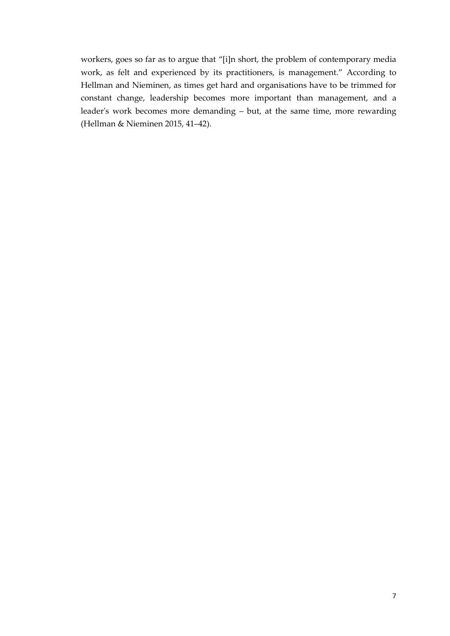workers, goes so far as to argue that "[i]n short, the problem of contemporary media work, as felt and experienced by its practitioners, is management." According to Hellman and Nieminen, as times get hard and organisations have to be trimmed for constant change, leadership becomes more important than management, and a leader's work becomes more demanding – but, at the same time, more rewarding (Hellman & Nieminen 2015, 41–42).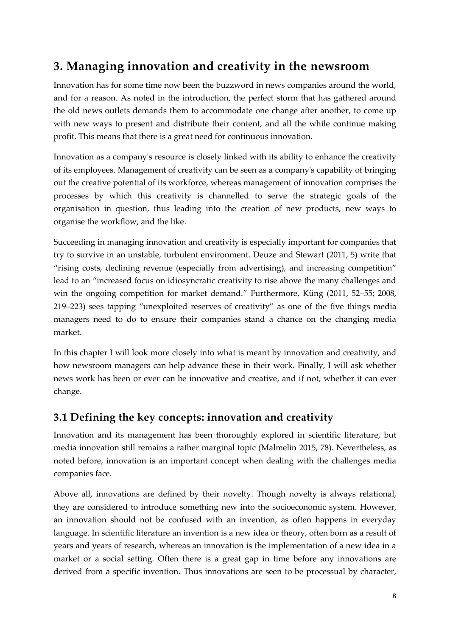## **3. Managing innovation and creativity in the newsroom**

Innovation has for some time now been the buzzword in news companies around the world, and for a reason. As noted in the introduction, the perfect storm that has gathered around the old news outlets demands them to accommodate one change after another, to come up with new ways to present and distribute their content, and all the while continue making profit. This means that there is a great need for continuous innovation.

Innovation as a company's resource is closely linked with its ability to enhance the creativity of its employees. Management of creativity can be seen as a company's capability of bringing out the creative potential of its workforce, whereas management of innovation comprises the processes by which this creativity is channelled to serve the strategic goals of the organisation in question, thus leading into the creation of new products, new ways to organise the workflow, and the like.

Succeeding in managing innovation and creativity is especially important for companies that try to survive in an unstable, turbulent environment. Deuze and Stewart (2011, 5) write that "rising costs, declining revenue (especially from advertising), and increasing competition" lead to an "increased focus on idiosyncratic creativity to rise above the many challenges and win the ongoing competition for market demand." Furthermore, Küng (2011, 52–55; 2008, 219–223) sees tapping "unexploited reserves of creativity" as one of the five things media managers need to do to ensure their companies stand a chance on the changing media market.

In this chapter I will look more closely into what is meant by innovation and creativity, and how newsroom managers can help advance these in their work. Finally, I will ask whether news work has been or ever can be innovative and creative, and if not, whether it can ever change.

## **3.1 Defining the key concepts: innovation and creativity**

Innovation and its management has been thoroughly explored in scientific literature, but media innovation still remains a rather marginal topic (Malmelin 2015, 78). Nevertheless, as noted before, innovation is an important concept when dealing with the challenges media companies face.

Above all, innovations are defined by their novelty. Though novelty is always relational, they are considered to introduce something new into the socioeconomic system. However, an innovation should not be confused with an invention, as often happens in everyday language. In scientific literature an invention is a new idea or theory, often born as a result of years and years of research, whereas an innovation is the implementation of a new idea in a market or a social setting. Often there is a great gap in time before any innovations are derived from a specific invention. Thus innovations are seen to be processual by character,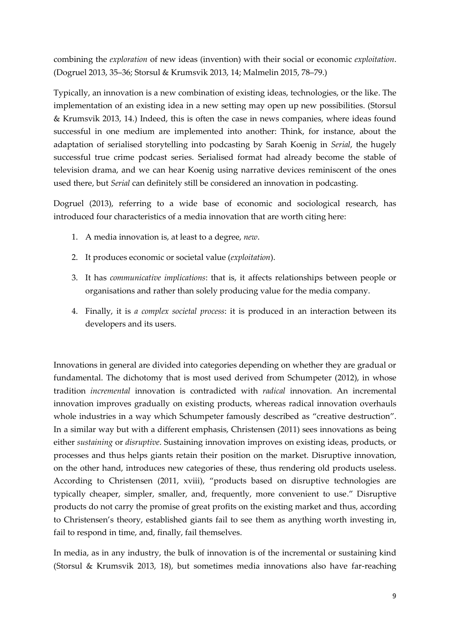combining the *exploration* of new ideas (invention) with their social or economic *exploitation*. (Dogruel 2013, 35–36; Storsul & Krumsvik 2013, 14; Malmelin 2015, 78–79.)

Typically, an innovation is a new combination of existing ideas, technologies, or the like. The implementation of an existing idea in a new setting may open up new possibilities. (Storsul & Krumsvik 2013, 14.) Indeed, this is often the case in news companies, where ideas found successful in one medium are implemented into another: Think, for instance, about the adaptation of serialised storytelling into podcasting by Sarah Koenig in *Serial*, the hugely successful true crime podcast series. Serialised format had already become the stable of television drama, and we can hear Koenig using narrative devices reminiscent of the ones used there, but *Serial* can definitely still be considered an innovation in podcasting.

Dogruel (2013), referring to a wide base of economic and sociological research, has introduced four characteristics of a media innovation that are worth citing here:

- 1. A media innovation is, at least to a degree, *new*.
- 2. It produces economic or societal value (*exploitation*).
- 3. It has *communicative implications*: that is, it affects relationships between people or organisations and rather than solely producing value for the media company.
- 4. Finally, it is *a complex societal process*: it is produced in an interaction between its developers and its users.

Innovations in general are divided into categories depending on whether they are gradual or fundamental. The dichotomy that is most used derived from Schumpeter (2012), in whose tradition *incremental* innovation is contradicted with *radical* innovation. An incremental innovation improves gradually on existing products, whereas radical innovation overhauls whole industries in a way which Schumpeter famously described as "creative destruction". In a similar way but with a different emphasis, Christensen (2011) sees innovations as being either *sustaining* or *disruptive*. Sustaining innovation improves on existing ideas, products, or processes and thus helps giants retain their position on the market. Disruptive innovation, on the other hand, introduces new categories of these, thus rendering old products useless. According to Christensen (2011, xviii), "products based on disruptive technologies are typically cheaper, simpler, smaller, and, frequently, more convenient to use." Disruptive products do not carry the promise of great profits on the existing market and thus, according to Christensen's theory, established giants fail to see them as anything worth investing in, fail to respond in time, and, finally, fail themselves.

In media, as in any industry, the bulk of innovation is of the incremental or sustaining kind (Storsul & Krumsvik 2013, 18), but sometimes media innovations also have far-reaching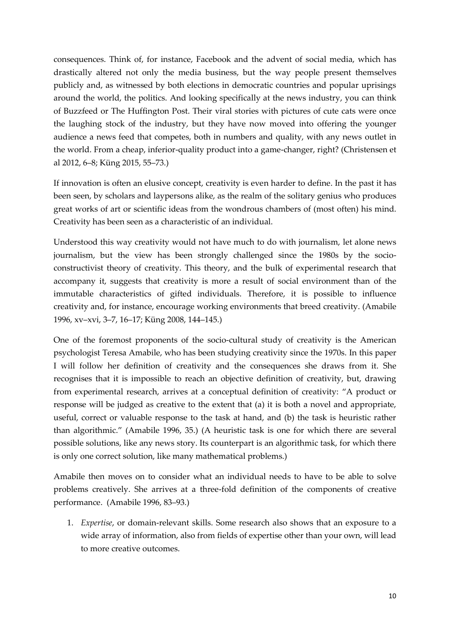consequences. Think of, for instance, Facebook and the advent of social media, which has drastically altered not only the media business, but the way people present themselves publicly and, as witnessed by both elections in democratic countries and popular uprisings around the world, the politics. And looking specifically at the news industry, you can think of Buzzfeed or The Huffington Post. Their viral stories with pictures of cute cats were once the laughing stock of the industry, but they have now moved into offering the younger audience a news feed that competes, both in numbers and quality, with any news outlet in the world. From a cheap, inferior-quality product into a game-changer, right? (Christensen et al 2012, 6–8; Küng 2015, 55–73.)

If innovation is often an elusive concept, creativity is even harder to define. In the past it has been seen, by scholars and laypersons alike, as the realm of the solitary genius who produces great works of art or scientific ideas from the wondrous chambers of (most often) his mind. Creativity has been seen as a characteristic of an individual.

Understood this way creativity would not have much to do with journalism, let alone news journalism, but the view has been strongly challenged since the 1980s by the socioconstructivist theory of creativity. This theory, and the bulk of experimental research that accompany it, suggests that creativity is more a result of social environment than of the immutable characteristics of gifted individuals. Therefore, it is possible to influence creativity and, for instance, encourage working environments that breed creativity. (Amabile 1996, xv–xvi, 3–7, 16–17; Küng 2008, 144–145.)

One of the foremost proponents of the socio-cultural study of creativity is the American psychologist Teresa Amabile, who has been studying creativity since the 1970s. In this paper I will follow her definition of creativity and the consequences she draws from it. She recognises that it is impossible to reach an objective definition of creativity, but, drawing from experimental research, arrives at a conceptual definition of creativity: "A product or response will be judged as creative to the extent that (a) it is both a novel and appropriate, useful, correct or valuable response to the task at hand, and (b) the task is heuristic rather than algorithmic." (Amabile 1996, 35.) (A heuristic task is one for which there are several possible solutions, like any news story. Its counterpart is an algorithmic task, for which there is only one correct solution, like many mathematical problems.)

Amabile then moves on to consider what an individual needs to have to be able to solve problems creatively. She arrives at a three-fold definition of the components of creative performance. (Amabile 1996, 83–93.)

1. *Expertise*, or domain-relevant skills. Some research also shows that an exposure to a wide array of information, also from fields of expertise other than your own, will lead to more creative outcomes.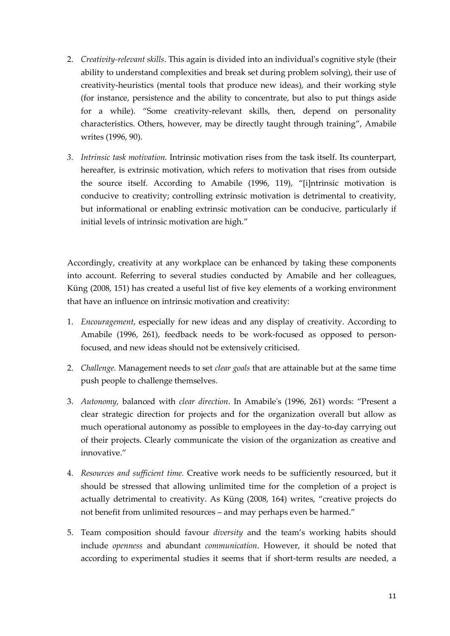- 2. *Creativity-relevant skills*. This again is divided into an individual's cognitive style (their ability to understand complexities and break set during problem solving), their use of creativity-heuristics (mental tools that produce new ideas), and their working style (for instance, persistence and the ability to concentrate, but also to put things aside for a while). "Some creativity-relevant skills, then, depend on personality characteristics. Others, however, may be directly taught through training", Amabile writes (1996, 90).
- *3. Intrinsic task motivation.* Intrinsic motivation rises from the task itself. Its counterpart, hereafter, is extrinsic motivation, which refers to motivation that rises from outside the source itself. According to Amabile (1996, 119), "[i]ntrinsic motivation is conducive to creativity; controlling extrinsic motivation is detrimental to creativity, but informational or enabling extrinsic motivation can be conducive, particularly if initial levels of intrinsic motivation are high."

Accordingly, creativity at any workplace can be enhanced by taking these components into account. Referring to several studies conducted by Amabile and her colleagues, Küng (2008, 151) has created a useful list of five key elements of a working environment that have an influence on intrinsic motivation and creativity:

- 1. *Encouragement*, especially for new ideas and any display of creativity. According to Amabile (1996, 261), feedback needs to be work-focused as opposed to personfocused, and new ideas should not be extensively criticised.
- 2. *Challenge.* Management needs to set *clear goals* that are attainable but at the same time push people to challenge themselves.
- 3. *Autonomy,* balanced with *clear direction*. In Amabile's (1996, 261) words: "Present a clear strategic direction for projects and for the organization overall but allow as much operational autonomy as possible to employees in the day-to-day carrying out of their projects. Clearly communicate the vision of the organization as creative and innovative."
- 4. *Resources and sufficient time.* Creative work needs to be sufficiently resourced, but it should be stressed that allowing unlimited time for the completion of a project is actually detrimental to creativity. As Küng (2008, 164) writes, "creative projects do not benefit from unlimited resources – and may perhaps even be harmed."
- 5. Team composition should favour *diversity* and the team's working habits should include *openness* and abundant *communication*. However, it should be noted that according to experimental studies it seems that if short-term results are needed, a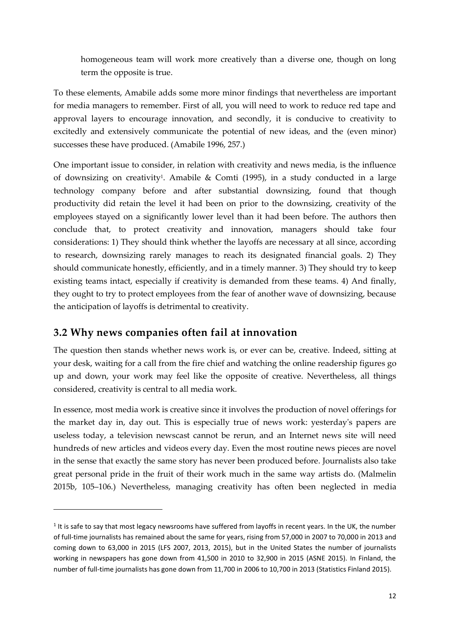homogeneous team will work more creatively than a diverse one, though on long term the opposite is true.

To these elements, Amabile adds some more minor findings that nevertheless are important for media managers to remember. First of all, you will need to work to reduce red tape and approval layers to encourage innovation, and secondly, it is conducive to creativity to excitedly and extensively communicate the potential of new ideas, and the (even minor) successes these have produced. (Amabile 1996, 257.)

One important issue to consider, in relation with creativity and news media, is the influence of downsizing on creativity<sup>1</sup> . Amabile & Comti (1995), in a study conducted in a large technology company before and after substantial downsizing, found that though productivity did retain the level it had been on prior to the downsizing, creativity of the employees stayed on a significantly lower level than it had been before. The authors then conclude that, to protect creativity and innovation, managers should take four considerations: 1) They should think whether the layoffs are necessary at all since, according to research, downsizing rarely manages to reach its designated financial goals. 2) They should communicate honestly, efficiently, and in a timely manner. 3) They should try to keep existing teams intact, especially if creativity is demanded from these teams. 4) And finally, they ought to try to protect employees from the fear of another wave of downsizing, because the anticipation of layoffs is detrimental to creativity.

## **3.2 Why news companies often fail at innovation**

 $\overline{a}$ 

The question then stands whether news work is, or ever can be, creative. Indeed, sitting at your desk, waiting for a call from the fire chief and watching the online readership figures go up and down, your work may feel like the opposite of creative. Nevertheless, all things considered, creativity is central to all media work.

In essence, most media work is creative since it involves the production of novel offerings for the market day in, day out. This is especially true of news work: yesterday's papers are useless today, a television newscast cannot be rerun, and an Internet news site will need hundreds of new articles and videos every day. Even the most routine news pieces are novel in the sense that exactly the same story has never been produced before. Journalists also take great personal pride in the fruit of their work much in the same way artists do. (Malmelin 2015b, 105–106.) Nevertheless, managing creativity has often been neglected in media

 $<sup>1</sup>$  It is safe to say that most legacy newsrooms have suffered from layoffs in recent years. In the UK, the number</sup> of full-time journalists has remained about the same for years, rising from 57,000 in 2007 to 70,000 in 2013 and coming down to 63,000 in 2015 (LFS 2007, 2013, 2015), but in the United States the number of journalists working in newspapers has gone down from 41,500 in 2010 to 32,900 in 2015 (ASNE 2015). In Finland, the number of full-time journalists has gone down from 11,700 in 2006 to 10,700 in 2013 (Statistics Finland 2015).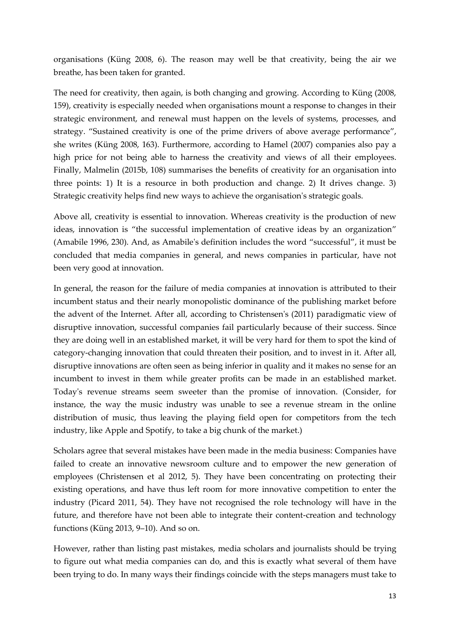organisations (Küng 2008, 6). The reason may well be that creativity, being the air we breathe, has been taken for granted.

The need for creativity, then again, is both changing and growing. According to Küng (2008, 159), creativity is especially needed when organisations mount a response to changes in their strategic environment, and renewal must happen on the levels of systems, processes, and strategy. "Sustained creativity is one of the prime drivers of above average performance", she writes (Küng 2008, 163). Furthermore, according to Hamel (2007) companies also pay a high price for not being able to harness the creativity and views of all their employees. Finally, Malmelin (2015b, 108) summarises the benefits of creativity for an organisation into three points: 1) It is a resource in both production and change. 2) It drives change. 3) Strategic creativity helps find new ways to achieve the organisation's strategic goals.

Above all, creativity is essential to innovation. Whereas creativity is the production of new ideas, innovation is "the successful implementation of creative ideas by an organization" (Amabile 1996, 230). And, as Amabile's definition includes the word "successful", it must be concluded that media companies in general, and news companies in particular, have not been very good at innovation.

In general, the reason for the failure of media companies at innovation is attributed to their incumbent status and their nearly monopolistic dominance of the publishing market before the advent of the Internet. After all, according to Christensen's (2011) paradigmatic view of disruptive innovation, successful companies fail particularly because of their success. Since they are doing well in an established market, it will be very hard for them to spot the kind of category-changing innovation that could threaten their position, and to invest in it. After all, disruptive innovations are often seen as being inferior in quality and it makes no sense for an incumbent to invest in them while greater profits can be made in an established market. Today's revenue streams seem sweeter than the promise of innovation. (Consider, for instance, the way the music industry was unable to see a revenue stream in the online distribution of music, thus leaving the playing field open for competitors from the tech industry, like Apple and Spotify, to take a big chunk of the market.)

Scholars agree that several mistakes have been made in the media business: Companies have failed to create an innovative newsroom culture and to empower the new generation of employees (Christensen et al 2012, 5). They have been concentrating on protecting their existing operations, and have thus left room for more innovative competition to enter the industry (Picard 2011, 54). They have not recognised the role technology will have in the future, and therefore have not been able to integrate their content-creation and technology functions (Küng 2013, 9–10). And so on.

However, rather than listing past mistakes, media scholars and journalists should be trying to figure out what media companies can do, and this is exactly what several of them have been trying to do. In many ways their findings coincide with the steps managers must take to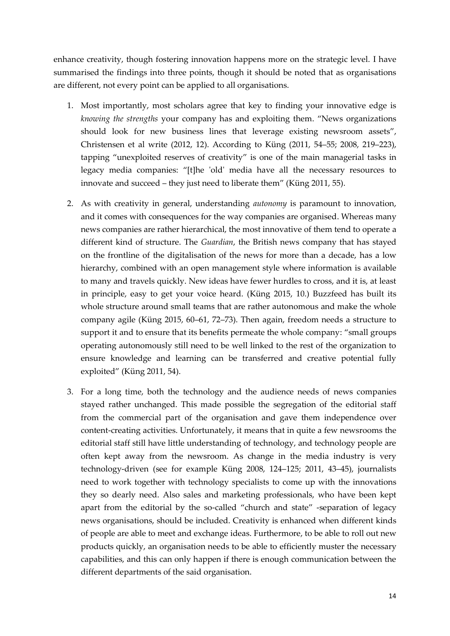enhance creativity, though fostering innovation happens more on the strategic level. I have summarised the findings into three points, though it should be noted that as organisations are different, not every point can be applied to all organisations.

- 1. Most importantly, most scholars agree that key to finding your innovative edge is *knowing the strengths* your company has and exploiting them. "News organizations should look for new business lines that leverage existing newsroom assets", Christensen et al write (2012, 12). According to Küng (2011, 54–55; 2008, 219–223), tapping "unexploited reserves of creativity" is one of the main managerial tasks in legacy media companies: "[t]he 'old' media have all the necessary resources to innovate and succeed – they just need to liberate them" (Küng 2011, 55).
- 2. As with creativity in general, understanding *autonomy* is paramount to innovation, and it comes with consequences for the way companies are organised. Whereas many news companies are rather hierarchical, the most innovative of them tend to operate a different kind of structure. The *Guardian*, the British news company that has stayed on the frontline of the digitalisation of the news for more than a decade, has a low hierarchy, combined with an open management style where information is available to many and travels quickly. New ideas have fewer hurdles to cross, and it is, at least in principle, easy to get your voice heard. (Küng 2015, 10.) Buzzfeed has built its whole structure around small teams that are rather autonomous and make the whole company agile (Küng 2015, 60–61, 72–73). Then again, freedom needs a structure to support it and to ensure that its benefits permeate the whole company: "small groups operating autonomously still need to be well linked to the rest of the organization to ensure knowledge and learning can be transferred and creative potential fully exploited" (Küng 2011, 54).
- 3. For a long time, both the technology and the audience needs of news companies stayed rather unchanged. This made possible the segregation of the editorial staff from the commercial part of the organisation and gave them independence over content-creating activities. Unfortunately, it means that in quite a few newsrooms the editorial staff still have little understanding of technology, and technology people are often kept away from the newsroom. As change in the media industry is very technology-driven (see for example Küng 2008, 124–125; 2011, 43–45), journalists need to work together with technology specialists to come up with the innovations they so dearly need. Also sales and marketing professionals, who have been kept apart from the editorial by the so-called "church and state" -separation of legacy news organisations, should be included. Creativity is enhanced when different kinds of people are able to meet and exchange ideas. Furthermore, to be able to roll out new products quickly, an organisation needs to be able to efficiently muster the necessary capabilities, and this can only happen if there is enough communication between the different departments of the said organisation.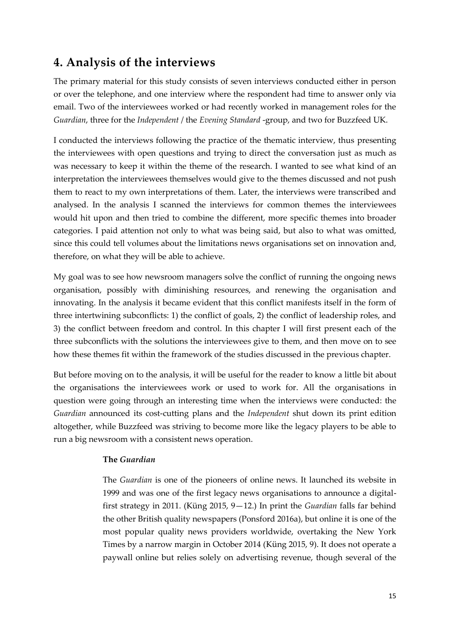## **4. Analysis of the interviews**

The primary material for this study consists of seven interviews conducted either in person or over the telephone, and one interview where the respondent had time to answer only via email. Two of the interviewees worked or had recently worked in management roles for the *Guardian*, three for the *Independent* / the *Evening Standard* -group, and two for Buzzfeed UK.

I conducted the interviews following the practice of the thematic interview, thus presenting the interviewees with open questions and trying to direct the conversation just as much as was necessary to keep it within the theme of the research. I wanted to see what kind of an interpretation the interviewees themselves would give to the themes discussed and not push them to react to my own interpretations of them. Later, the interviews were transcribed and analysed. In the analysis I scanned the interviews for common themes the interviewees would hit upon and then tried to combine the different, more specific themes into broader categories. I paid attention not only to what was being said, but also to what was omitted, since this could tell volumes about the limitations news organisations set on innovation and, therefore, on what they will be able to achieve.

My goal was to see how newsroom managers solve the conflict of running the ongoing news organisation, possibly with diminishing resources, and renewing the organisation and innovating. In the analysis it became evident that this conflict manifests itself in the form of three intertwining subconflicts: 1) the conflict of goals, 2) the conflict of leadership roles, and 3) the conflict between freedom and control. In this chapter I will first present each of the three subconflicts with the solutions the interviewees give to them, and then move on to see how these themes fit within the framework of the studies discussed in the previous chapter.

But before moving on to the analysis, it will be useful for the reader to know a little bit about the organisations the interviewees work or used to work for. All the organisations in question were going through an interesting time when the interviews were conducted: the *Guardian* announced its cost-cutting plans and the *Independent* shut down its print edition altogether, while Buzzfeed was striving to become more like the legacy players to be able to run a big newsroom with a consistent news operation.

#### **The** *Guardian*

The *Guardian* is one of the pioneers of online news. It launched its website in 1999 and was one of the first legacy news organisations to announce a digitalfirst strategy in 2011. (Küng 2015, 9—12.) In print the *Guardian* falls far behind the other British quality newspapers (Ponsford 2016a), but online it is one of the most popular quality news providers worldwide, overtaking the New York Times by a narrow margin in October 2014 (Küng 2015, 9). It does not operate a paywall online but relies solely on advertising revenue, though several of the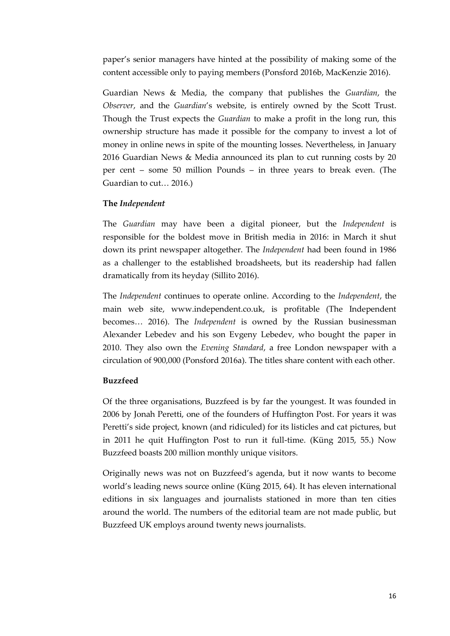paper's senior managers have hinted at the possibility of making some of the content accessible only to paying members (Ponsford 2016b, MacKenzie 2016).

Guardian News & Media, the company that publishes the *Guardian*, the *Observer*, and the *Guardian*'s website, is entirely owned by the Scott Trust. Though the Trust expects the *Guardian* to make a profit in the long run, this ownership structure has made it possible for the company to invest a lot of money in online news in spite of the mounting losses. Nevertheless, in January 2016 Guardian News & Media announced its plan to cut running costs by 20 per cent – some 50 million Pounds – in three years to break even. (The Guardian to cut… 2016.)

#### **The** *Independent*

The *Guardian* may have been a digital pioneer, but the *Independent* is responsible for the boldest move in British media in 2016: in March it shut down its print newspaper altogether. The *Independent* had been found in 1986 as a challenger to the established broadsheets, but its readership had fallen dramatically from its heyday (Sillito 2016).

The *Independent* continues to operate online. According to the *Independent*, the main web site, www.independent.co.uk, is profitable (The Independent becomes… 2016). The *Independent* is owned by the Russian businessman Alexander Lebedev and his son Evgeny Lebedev, who bought the paper in 2010. They also own the *Evening Standard*, a free London newspaper with a circulation of 900,000 (Ponsford 2016a). The titles share content with each other.

#### **Buzzfeed**

Of the three organisations, Buzzfeed is by far the youngest. It was founded in 2006 by Jonah Peretti, one of the founders of Huffington Post. For years it was Peretti's side project, known (and ridiculed) for its listicles and cat pictures, but in 2011 he quit Huffington Post to run it full-time. (Küng 2015, 55.) Now Buzzfeed boasts 200 million monthly unique visitors.

Originally news was not on Buzzfeed's agenda, but it now wants to become world's leading news source online (Küng 2015, 64). It has eleven international editions in six languages and journalists stationed in more than ten cities around the world. The numbers of the editorial team are not made public, but Buzzfeed UK employs around twenty news journalists.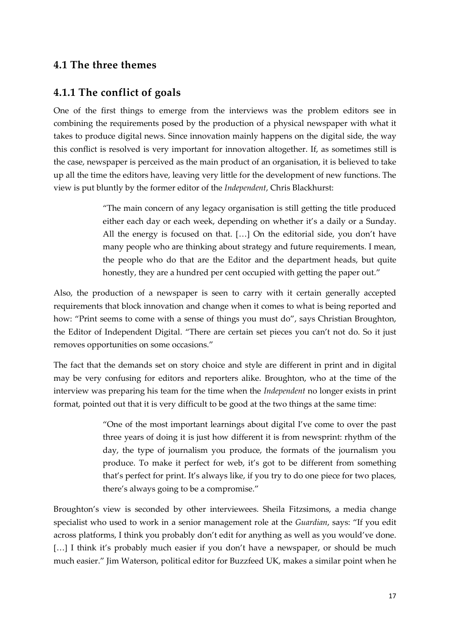### **4.1 The three themes**

### **4.1.1 The conflict of goals**

One of the first things to emerge from the interviews was the problem editors see in combining the requirements posed by the production of a physical newspaper with what it takes to produce digital news. Since innovation mainly happens on the digital side, the way this conflict is resolved is very important for innovation altogether. If, as sometimes still is the case, newspaper is perceived as the main product of an organisation, it is believed to take up all the time the editors have, leaving very little for the development of new functions. The view is put bluntly by the former editor of the *Independent*, Chris Blackhurst:

> "The main concern of any legacy organisation is still getting the title produced either each day or each week, depending on whether it's a daily or a Sunday. All the energy is focused on that. [...] On the editorial side, you don't have many people who are thinking about strategy and future requirements. I mean, the people who do that are the Editor and the department heads, but quite honestly, they are a hundred per cent occupied with getting the paper out."

Also, the production of a newspaper is seen to carry with it certain generally accepted requirements that block innovation and change when it comes to what is being reported and how: "Print seems to come with a sense of things you must do", says Christian Broughton, the Editor of Independent Digital. "There are certain set pieces you can't not do. So it just removes opportunities on some occasions."

The fact that the demands set on story choice and style are different in print and in digital may be very confusing for editors and reporters alike. Broughton, who at the time of the interview was preparing his team for the time when the *Independent* no longer exists in print format, pointed out that it is very difficult to be good at the two things at the same time:

> "One of the most important learnings about digital I've come to over the past three years of doing it is just how different it is from newsprint: rhythm of the day, the type of journalism you produce, the formats of the journalism you produce. To make it perfect for web, it's got to be different from something that's perfect for print. It's always like, if you try to do one piece for two places, there's always going to be a compromise."

Broughton's view is seconded by other interviewees. Sheila Fitzsimons, a media change specialist who used to work in a senior management role at the *Guardian*, says: "If you edit across platforms, I think you probably don't edit for anything as well as you would've done. [...] I think it's probably much easier if you don't have a newspaper, or should be much much easier." Jim Waterson, political editor for Buzzfeed UK, makes a similar point when he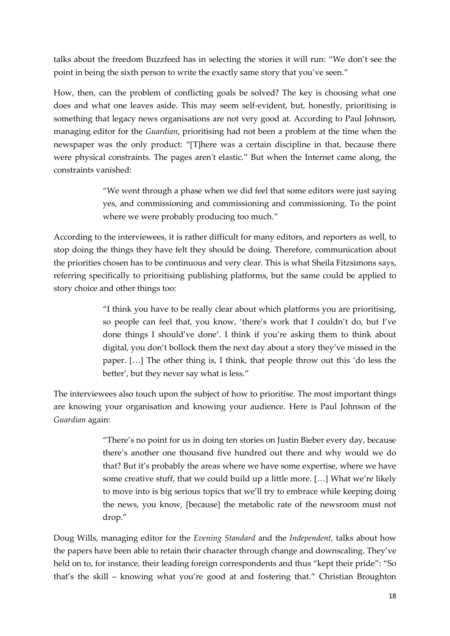talks about the freedom Buzzfeed has in selecting the stories it will run: "We don't see the point in being the sixth person to write the exactly same story that you've seen."

How, then, can the problem of conflicting goals be solved? The key is choosing what one does and what one leaves aside. This may seem self-evident, but, honestly, prioritising is something that legacy news organisations are not very good at. According to Paul Johnson, managing editor for the *Guardian*, prioritising had not been a problem at the time when the newspaper was the only product: "There was a certain discipline in that, because there were physical constraints. The pages aren't elastic." But when the Internet came along, the constraints vanished:

> "We went through a phase when we did feel that some editors were just saying yes, and commissioning and commissioning and commissioning. To the point where we were probably producing too much."

According to the interviewees, it is rather difficult for many editors, and reporters as well, to stop doing the things they have felt they should be doing. Therefore, communication about the priorities chosen has to be continuous and very clear. This is what Sheila Fitzsimons says, referring specifically to prioritising publishing platforms, but the same could be applied to story choice and other things too:

> "I think you have to be really clear about which platforms you are prioritising, so people can feel that, you know, 'there's work that I couldn't do, but I've done things I should've done'. I think if you're asking them to think about digital, you don't bollock them the next day about a story they've missed in the paper. … The other thing is, I think, that people throw out this 'do less the better', but they never say what is less."

The interviewees also touch upon the subject of how to prioritise. The most important things are knowing your organisation and knowing your audience. Here is Paul Johnson of the *Guardian* again:

> "There's no point for us in doing ten stories on Justin Bieber every day, because there's another one thousand five hundred out there and why would we do that? But it's probably the areas where we have some expertise, where we have some creative stuff, that we could build up a little more. [...] What we're likely to move into is big serious topics that we'll try to embrace while keeping doing the news, you know, [because] the metabolic rate of the newsroom must not drop."

Doug Wills, managing editor for the *Evening Standard* and the *Independent*, talks about how the papers have been able to retain their character through change and downscaling. They've held on to, for instance, their leading foreign correspondents and thus "kept their pride": "So that's the skill – knowing what you're good at and fostering that." Christian Broughton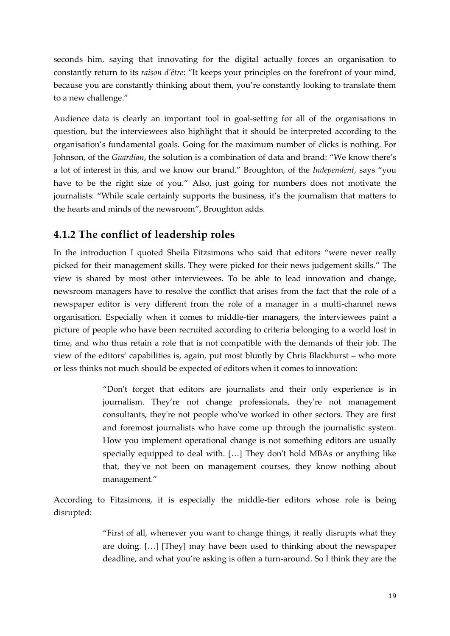seconds him, saying that innovating for the digital actually forces an organisation to constantly return to its *raison d'être*: "It keeps your principles on the forefront of your mind, because you are constantly thinking about them, you're constantly looking to translate them to a new challenge."

Audience data is clearly an important tool in goal-setting for all of the organisations in question, but the interviewees also highlight that it should be interpreted according to the organisation's fundamental goals. Going for the maximum number of clicks is nothing. For Johnson, of the *Guardian*, the solution is a combination of data and brand: "We know there's a lot of interest in this, and we know our brand." Broughton, of the *Independent*, says "you have to be the right size of you." Also, just going for numbers does not motivate the journalists: "While scale certainly supports the business, it's the journalism that matters to the hearts and minds of the newsroom", Broughton adds.

## **4.1.2 The conflict of leadership roles**

In the introduction I quoted Sheila Fitzsimons who said that editors "were never really picked for their management skills. They were picked for their news judgement skills." The view is shared by most other interviewees. To be able to lead innovation and change, newsroom managers have to resolve the conflict that arises from the fact that the role of a newspaper editor is very different from the role of a manager in a multi-channel news organisation. Especially when it comes to middle-tier managers, the interviewees paint a picture of people who have been recruited according to criteria belonging to a world lost in time, and who thus retain a role that is not compatible with the demands of their job. The view of the editors' capabilities is, again, put most bluntly by Chris Blackhurst – who more or less thinks not much should be expected of editors when it comes to innovation:

> "Don't forget that editors are journalists and their only experience is in journalism. They're not change professionals, they're not management consultants, they're not people who've worked in other sectors. They are first and foremost journalists who have come up through the journalistic system. How you implement operational change is not something editors are usually specially equipped to deal with. [...] They don't hold MBAs or anything like that, they've not been on management courses, they know nothing about management."

According to Fitzsimons, it is especially the middle-tier editors whose role is being disrupted:

> "First of all, whenever you want to change things, it really disrupts what they are doing.  $[...]$  [They] may have been used to thinking about the newspaper deadline, and what you're asking is often a turn-around. So I think they are the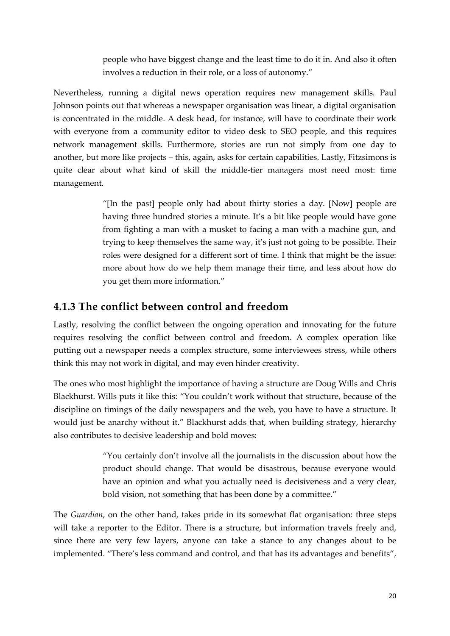people who have biggest change and the least time to do it in. And also it often involves a reduction in their role, or a loss of autonomy."

Nevertheless, running a digital news operation requires new management skills. Paul Johnson points out that whereas a newspaper organisation was linear, a digital organisation is concentrated in the middle. A desk head, for instance, will have to coordinate their work with everyone from a community editor to video desk to SEO people, and this requires network management skills. Furthermore, stories are run not simply from one day to another, but more like projects – this, again, asks for certain capabilities. Lastly, Fitzsimons is quite clear about what kind of skill the middle-tier managers most need most: time management.

> "[In the past] people only had about thirty stories a day. [Now] people are having three hundred stories a minute. It's a bit like people would have gone from fighting a man with a musket to facing a man with a machine gun, and trying to keep themselves the same way, it's just not going to be possible. Their roles were designed for a different sort of time. I think that might be the issue: more about how do we help them manage their time, and less about how do you get them more information."

## **4.1.3 The conflict between control and freedom**

Lastly, resolving the conflict between the ongoing operation and innovating for the future requires resolving the conflict between control and freedom. A complex operation like putting out a newspaper needs a complex structure, some interviewees stress, while others think this may not work in digital, and may even hinder creativity.

The ones who most highlight the importance of having a structure are Doug Wills and Chris Blackhurst. Wills puts it like this: "You couldn't work without that structure, because of the discipline on timings of the daily newspapers and the web, you have to have a structure. It would just be anarchy without it." Blackhurst adds that, when building strategy, hierarchy also contributes to decisive leadership and bold moves:

> "You certainly don't involve all the journalists in the discussion about how the product should change. That would be disastrous, because everyone would have an opinion and what you actually need is decisiveness and a very clear, bold vision, not something that has been done by a committee."

The *Guardian*, on the other hand, takes pride in its somewhat flat organisation: three steps will take a reporter to the Editor. There is a structure, but information travels freely and, since there are very few layers, anyone can take a stance to any changes about to be implemented. "There's less command and control, and that has its advantages and benefits",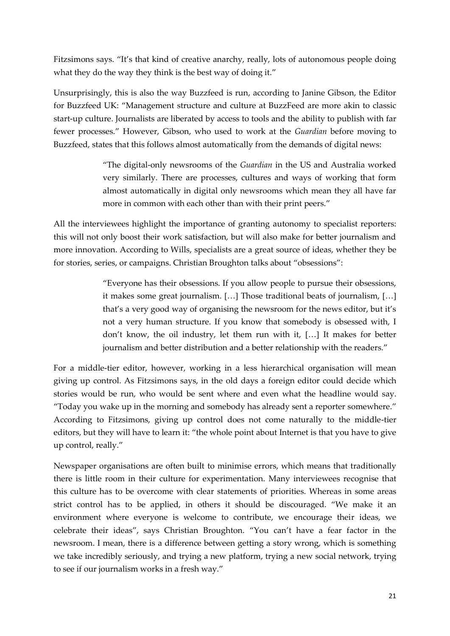Fitzsimons says. "It's that kind of creative anarchy, really, lots of autonomous people doing what they do the way they think is the best way of doing it."

Unsurprisingly, this is also the way Buzzfeed is run, according to Janine Gibson, the Editor for Buzzfeed UK: "Management structure and culture at BuzzFeed are more akin to classic start-up culture. Journalists are liberated by access to tools and the ability to publish with far fewer processes." However, Gibson, who used to work at the *Guardian* before moving to Buzzfeed, states that this follows almost automatically from the demands of digital news:

> "The digital-only newsrooms of the *Guardian* in the US and Australia worked very similarly. There are processes, cultures and ways of working that form almost automatically in digital only newsrooms which mean they all have far more in common with each other than with their print peers."

All the interviewees highlight the importance of granting autonomy to specialist reporters: this will not only boost their work satisfaction, but will also make for better journalism and more innovation. According to Wills, specialists are a great source of ideas, whether they be for stories, series, or campaigns. Christian Broughton talks about "obsessions":

> "Everyone has their obsessions. If you allow people to pursue their obsessions, it makes some great journalism. [...] Those traditional beats of journalism, [...] that's a very good way of organising the newsroom for the news editor, but it's not a very human structure. If you know that somebody is obsessed with, I don't know, the oil industry, let them run with it, … It makes for better journalism and better distribution and a better relationship with the readers."

For a middle-tier editor, however, working in a less hierarchical organisation will mean giving up control. As Fitzsimons says, in the old days a foreign editor could decide which stories would be run, who would be sent where and even what the headline would say. "Today you wake up in the morning and somebody has already sent a reporter somewhere." According to Fitzsimons, giving up control does not come naturally to the middle-tier editors, but they will have to learn it: "the whole point about Internet is that you have to give up control, really."

Newspaper organisations are often built to minimise errors, which means that traditionally there is little room in their culture for experimentation. Many interviewees recognise that this culture has to be overcome with clear statements of priorities. Whereas in some areas strict control has to be applied, in others it should be discouraged. "We make it an environment where everyone is welcome to contribute, we encourage their ideas, we celebrate their ideas", says Christian Broughton. "You can't have a fear factor in the newsroom. I mean, there is a difference between getting a story wrong, which is something we take incredibly seriously, and trying a new platform, trying a new social network, trying to see if our journalism works in a fresh way."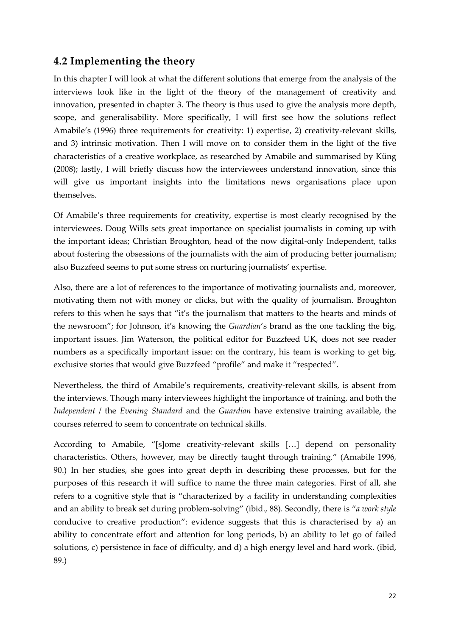### **4.2 Implementing the theory**

In this chapter I will look at what the different solutions that emerge from the analysis of the interviews look like in the light of the theory of the management of creativity and innovation, presented in chapter 3. The theory is thus used to give the analysis more depth, scope, and generalisability. More specifically, I will first see how the solutions reflect Amabile's (1996) three requirements for creativity: 1) expertise, 2) creativity-relevant skills, and 3) intrinsic motivation. Then I will move on to consider them in the light of the five characteristics of a creative workplace, as researched by Amabile and summarised by Küng (2008); lastly, I will briefly discuss how the interviewees understand innovation, since this will give us important insights into the limitations news organisations place upon themselves.

Of Amabile's three requirements for creativity, expertise is most clearly recognised by the interviewees. Doug Wills sets great importance on specialist journalists in coming up with the important ideas; Christian Broughton, head of the now digital-only Independent, talks about fostering the obsessions of the journalists with the aim of producing better journalism; also Buzzfeed seems to put some stress on nurturing journalists' expertise.

Also, there are a lot of references to the importance of motivating journalists and, moreover, motivating them not with money or clicks, but with the quality of journalism. Broughton refers to this when he says that "it's the journalism that matters to the hearts and minds of the newsroom"; for Johnson, it's knowing the *Guardian*'s brand as the one tackling the big, important issues. Jim Waterson, the political editor for Buzzfeed UK, does not see reader numbers as a specifically important issue: on the contrary, his team is working to get big, exclusive stories that would give Buzzfeed "profile" and make it "respected".

Nevertheless, the third of Amabile's requirements, creativity-relevant skills, is absent from the interviews. Though many interviewees highlight the importance of training, and both the *Independent* / the *Evening Standard* and the *Guardian* have extensive training available, the courses referred to seem to concentrate on technical skills.

According to Amabile, "[s]ome creativity-relevant skills [...] depend on personality characteristics. Others, however, may be directly taught through training." (Amabile 1996, 90.) In her studies, she goes into great depth in describing these processes, but for the purposes of this research it will suffice to name the three main categories. First of all, she refers to a cognitive style that is "characterized by a facility in understanding complexities and an ability to break set during problem-solving" (ibid., 88). Secondly, there is "*a work style* conducive to creative production": evidence suggests that this is characterised by a) an ability to concentrate effort and attention for long periods, b) an ability to let go of failed solutions, c) persistence in face of difficulty, and d) a high energy level and hard work. (ibid, 89.)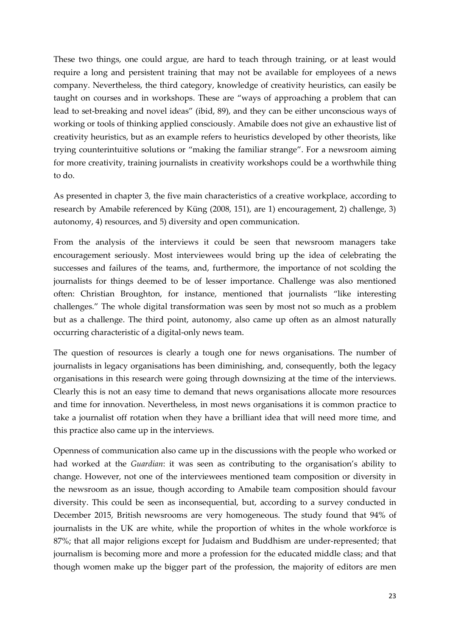These two things, one could argue, are hard to teach through training, or at least would require a long and persistent training that may not be available for employees of a news company. Nevertheless, the third category, knowledge of creativity heuristics, can easily be taught on courses and in workshops. These are "ways of approaching a problem that can lead to set-breaking and novel ideas" (ibid, 89), and they can be either unconscious ways of working or tools of thinking applied consciously. Amabile does not give an exhaustive list of creativity heuristics, but as an example refers to heuristics developed by other theorists, like trying counterintuitive solutions or "making the familiar strange". For a newsroom aiming for more creativity, training journalists in creativity workshops could be a worthwhile thing to do.

As presented in chapter 3, the five main characteristics of a creative workplace, according to research by Amabile referenced by Küng (2008, 151), are 1) encouragement, 2) challenge, 3) autonomy, 4) resources, and 5) diversity and open communication.

From the analysis of the interviews it could be seen that newsroom managers take encouragement seriously. Most interviewees would bring up the idea of celebrating the successes and failures of the teams, and, furthermore, the importance of not scolding the journalists for things deemed to be of lesser importance. Challenge was also mentioned often: Christian Broughton, for instance, mentioned that journalists "like interesting challenges." The whole digital transformation was seen by most not so much as a problem but as a challenge. The third point, autonomy, also came up often as an almost naturally occurring characteristic of a digital-only news team.

The question of resources is clearly a tough one for news organisations. The number of journalists in legacy organisations has been diminishing, and, consequently, both the legacy organisations in this research were going through downsizing at the time of the interviews. Clearly this is not an easy time to demand that news organisations allocate more resources and time for innovation. Nevertheless, in most news organisations it is common practice to take a journalist off rotation when they have a brilliant idea that will need more time, and this practice also came up in the interviews.

Openness of communication also came up in the discussions with the people who worked or had worked at the *Guardian*: it was seen as contributing to the organisation's ability to change. However, not one of the interviewees mentioned team composition or diversity in the newsroom as an issue, though according to Amabile team composition should favour diversity. This could be seen as inconsequential, but, according to a survey conducted in December 2015, British newsrooms are very homogeneous. The study found that 94% of journalists in the UK are white, while the proportion of whites in the whole workforce is 87%; that all major religions except for Judaism and Buddhism are under-represented; that journalism is becoming more and more a profession for the educated middle class; and that though women make up the bigger part of the profession, the majority of editors are men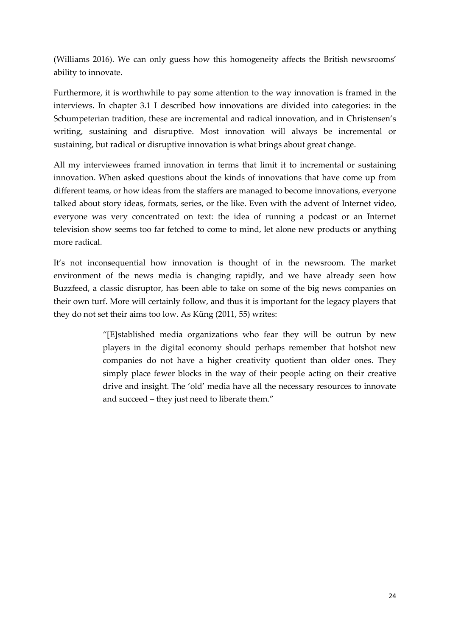(Williams 2016). We can only guess how this homogeneity affects the British newsrooms' ability to innovate.

Furthermore, it is worthwhile to pay some attention to the way innovation is framed in the interviews. In chapter 3.1 I described how innovations are divided into categories: in the Schumpeterian tradition, these are incremental and radical innovation, and in Christensen's writing, sustaining and disruptive. Most innovation will always be incremental or sustaining, but radical or disruptive innovation is what brings about great change.

All my interviewees framed innovation in terms that limit it to incremental or sustaining innovation. When asked questions about the kinds of innovations that have come up from different teams, or how ideas from the staffers are managed to become innovations, everyone talked about story ideas, formats, series, or the like. Even with the advent of Internet video, everyone was very concentrated on text: the idea of running a podcast or an Internet television show seems too far fetched to come to mind, let alone new products or anything more radical.

It's not inconsequential how innovation is thought of in the newsroom. The market environment of the news media is changing rapidly, and we have already seen how Buzzfeed, a classic disruptor, has been able to take on some of the big news companies on their own turf. More will certainly follow, and thus it is important for the legacy players that they do not set their aims too low. As Küng (2011, 55) writes:

> "[E]stablished media organizations who fear they will be outrun by new players in the digital economy should perhaps remember that hotshot new companies do not have a higher creativity quotient than older ones. They simply place fewer blocks in the way of their people acting on their creative drive and insight. The 'old' media have all the necessary resources to innovate and succeed – they just need to liberate them."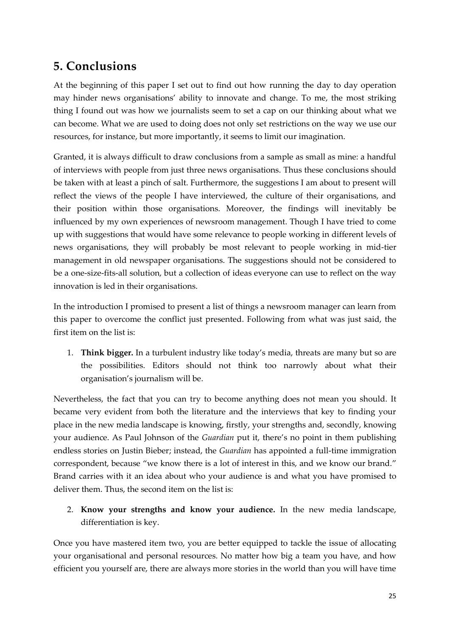# **5. Conclusions**

At the beginning of this paper I set out to find out how running the day to day operation may hinder news organisations' ability to innovate and change. To me, the most striking thing I found out was how we journalists seem to set a cap on our thinking about what we can become. What we are used to doing does not only set restrictions on the way we use our resources, for instance, but more importantly, it seems to limit our imagination.

Granted, it is always difficult to draw conclusions from a sample as small as mine: a handful of interviews with people from just three news organisations. Thus these conclusions should be taken with at least a pinch of salt. Furthermore, the suggestions I am about to present will reflect the views of the people I have interviewed, the culture of their organisations, and their position within those organisations. Moreover, the findings will inevitably be influenced by my own experiences of newsroom management. Though I have tried to come up with suggestions that would have some relevance to people working in different levels of news organisations, they will probably be most relevant to people working in mid-tier management in old newspaper organisations. The suggestions should not be considered to be a one-size-fits-all solution, but a collection of ideas everyone can use to reflect on the way innovation is led in their organisations.

In the introduction I promised to present a list of things a newsroom manager can learn from this paper to overcome the conflict just presented. Following from what was just said, the first item on the list is:

1. **Think bigger.** In a turbulent industry like today's media, threats are many but so are the possibilities. Editors should not think too narrowly about what their organisation's journalism will be.

Nevertheless, the fact that you can try to become anything does not mean you should. It became very evident from both the literature and the interviews that key to finding your place in the new media landscape is knowing, firstly, your strengths and, secondly, knowing your audience. As Paul Johnson of the *Guardian* put it, there's no point in them publishing endless stories on Justin Bieber; instead, the *Guardian* has appointed a full-time immigration correspondent, because "we know there is a lot of interest in this, and we know our brand." Brand carries with it an idea about who your audience is and what you have promised to deliver them. Thus, the second item on the list is:

2. **Know your strengths and know your audience.** In the new media landscape, differentiation is key.

Once you have mastered item two, you are better equipped to tackle the issue of allocating your organisational and personal resources. No matter how big a team you have, and how efficient you yourself are, there are always more stories in the world than you will have time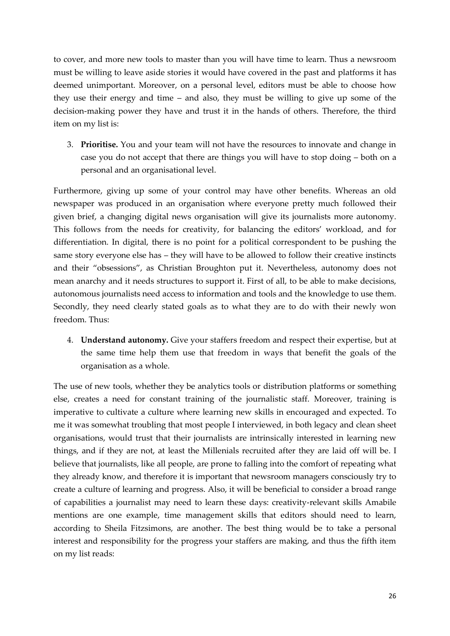to cover, and more new tools to master than you will have time to learn. Thus a newsroom must be willing to leave aside stories it would have covered in the past and platforms it has deemed unimportant. Moreover, on a personal level, editors must be able to choose how they use their energy and time – and also, they must be willing to give up some of the decision-making power they have and trust it in the hands of others. Therefore, the third item on my list is:

3. **Prioritise.** You and your team will not have the resources to innovate and change in case you do not accept that there are things you will have to stop doing – both on a personal and an organisational level.

Furthermore, giving up some of your control may have other benefits. Whereas an old newspaper was produced in an organisation where everyone pretty much followed their given brief, a changing digital news organisation will give its journalists more autonomy. This follows from the needs for creativity, for balancing the editors' workload, and for differentiation. In digital, there is no point for a political correspondent to be pushing the same story everyone else has – they will have to be allowed to follow their creative instincts and their "obsessions", as Christian Broughton put it. Nevertheless, autonomy does not mean anarchy and it needs structures to support it. First of all, to be able to make decisions, autonomous journalists need access to information and tools and the knowledge to use them. Secondly, they need clearly stated goals as to what they are to do with their newly won freedom. Thus:

4. **Understand autonomy.** Give your staffers freedom and respect their expertise, but at the same time help them use that freedom in ways that benefit the goals of the organisation as a whole.

The use of new tools, whether they be analytics tools or distribution platforms or something else, creates a need for constant training of the journalistic staff. Moreover, training is imperative to cultivate a culture where learning new skills in encouraged and expected. To me it was somewhat troubling that most people I interviewed, in both legacy and clean sheet organisations, would trust that their journalists are intrinsically interested in learning new things, and if they are not, at least the Millenials recruited after they are laid off will be. I believe that journalists, like all people, are prone to falling into the comfort of repeating what they already know, and therefore it is important that newsroom managers consciously try to create a culture of learning and progress. Also, it will be beneficial to consider a broad range of capabilities a journalist may need to learn these days: creativity-relevant skills Amabile mentions are one example, time management skills that editors should need to learn, according to Sheila Fitzsimons, are another. The best thing would be to take a personal interest and responsibility for the progress your staffers are making, and thus the fifth item on my list reads: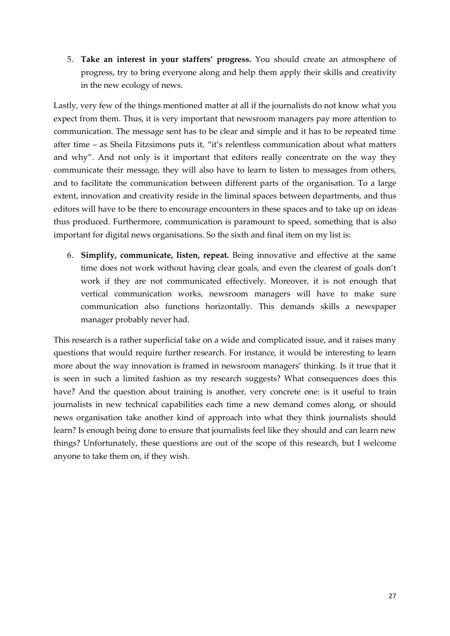5. **Take an interest in your staffers' progress.** You should create an atmosphere of progress, try to bring everyone along and help them apply their skills and creativity in the new ecology of news.

Lastly, very few of the things mentioned matter at all if the journalists do not know what you expect from them. Thus, it is very important that newsroom managers pay more attention to communication. The message sent has to be clear and simple and it has to be repeated time after time – as Sheila Fitzsimons puts it, "it's relentless communication about what matters and why". And not only is it important that editors really concentrate on the way they communicate their message, they will also have to learn to listen to messages from others, and to facilitate the communication between different parts of the organisation. To a large extent, innovation and creativity reside in the liminal spaces between departments, and thus editors will have to be there to encourage encounters in these spaces and to take up on ideas thus produced. Furthermore, communication is paramount to speed, something that is also important for digital news organisations. So the sixth and final item on my list is:

6. **Simplify, communicate, listen, repeat.** Being innovative and effective at the same time does not work without having clear goals, and even the clearest of goals don't work if they are not communicated effectively. Moreover, it is not enough that vertical communication works, newsroom managers will have to make sure communication also functions horizontally. This demands skills a newspaper manager probably never had.

This research is a rather superficial take on a wide and complicated issue, and it raises many questions that would require further research. For instance, it would be interesting to learn more about the way innovation is framed in newsroom managers' thinking. Is it true that it is seen in such a limited fashion as my research suggests? What consequences does this have? And the question about training is another, very concrete one: is it useful to train journalists in new technical capabilities each time a new demand comes along, or should news organisation take another kind of approach into what they think journalists should learn? Is enough being done to ensure that journalists feel like they should and can learn new things? Unfortunately, these questions are out of the scope of this research, but I welcome anyone to take them on, if they wish.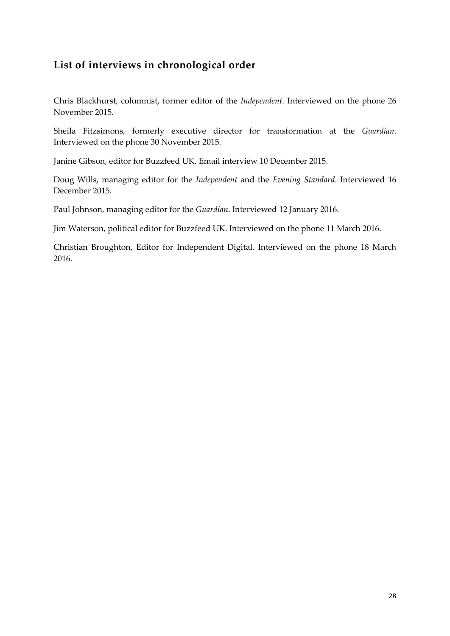## **List of interviews in chronological order**

Chris Blackhurst, columnist, former editor of the *Independent*. Interviewed on the phone 26 November 2015.

Sheila Fitzsimons, formerly executive director for transformation at the *Guardian*. Interviewed on the phone 30 November 2015.

Janine Gibson, editor for Buzzfeed UK. Email interview 10 December 2015.

Doug Wills, managing editor for the *Independent* and the *Evening Standard*. Interviewed 16 December 2015.

Paul Johnson, managing editor for the *Guardian*. Interviewed 12 January 2016.

Jim Waterson, political editor for Buzzfeed UK. Interviewed on the phone 11 March 2016.

Christian Broughton, Editor for Independent Digital. Interviewed on the phone 18 March 2016.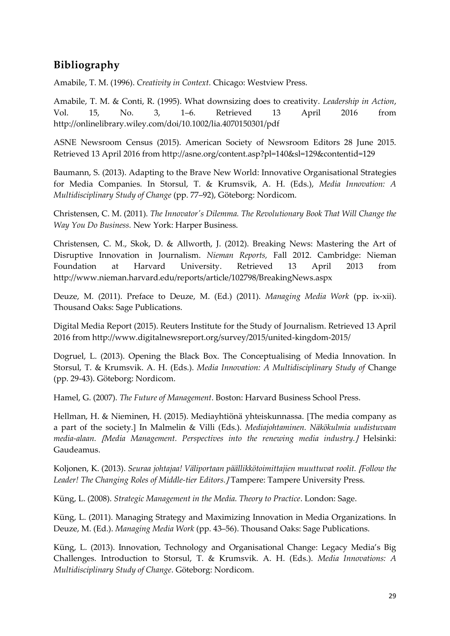## **Bibliography**

Amabile, T. M. (1996). *Creativity in Context.* Chicago: Westview Press.

Amabile, T. M. & Conti, R. (1995). What downsizing does to creativity. *Leadership in Action*, Vol. 15, No. 3, 1–6. Retrieved 13 April 2016 from http://onlinelibrary.wiley.com/doi/10.1002/lia.4070150301/pdf

ASNE Newsroom Census (2015). American Society of Newsroom Editors 28 June 2015. Retrieved 13 April 2016 from http://asne.org/content.asp?pl=140&sl=129&contentid=129

Baumann, S. (2013). Adapting to the Brave New World: Innovative Organisational Strategies for Media Companies. In Storsul, T. & Krumsvik, A. H. (Eds.), *Media Innovation: A Multidisciplinary Study of Change* (pp. 77–92), Göteborg: Nordicom.

Christensen, C. M. (2011). *The Innovator's Dilemma. The Revolutionary Book That Will Change the Way You Do Business.* New York: Harper Business.

Christensen, C. M., Skok, D. & Allworth, J. (2012). Breaking News: Mastering the Art of Disruptive Innovation in Journalism. *Nieman Reports,* Fall 2012. Cambridge: Nieman Foundation at Harvard University. Retrieved 13 April 2013 from http://www.nieman.harvard.edu/reports/article/102798/BreakingNews.aspx

Deuze, M. (2011). Preface to Deuze, M. (Ed.) (2011). *Managing Media Work* (pp. ix-xii). Thousand Oaks: Sage Publications.

Digital Media Report (2015). Reuters Institute for the Study of Journalism. Retrieved 13 April 2016 from http://www.digitalnewsreport.org/survey/2015/united-kingdom-2015/

Dogruel, L. (2013). Opening the Black Box. The Conceptualising of Media Innovation. In Storsul, T. & Krumsvik. A. H. (Eds.). *Media Innovation: A Multidisciplinary Study of* Change (pp. 29-43). Göteborg: Nordicom.

Hamel, G. (2007). *The Future of Management*. Boston: Harvard Business School Press.

Hellman, H. & Nieminen, H. (2015). Mediayhtiönä yhteiskunnassa. The media company as a part of the society. In Malmelin & Villi (Eds.). *Mediajohtaminen. Näkökulmia uudistuvaan media-alaan. Media Management. Perspectives into the renewing media industry.* Helsinki: Gaudeamus.

Koljonen, K. (2013). *Seuraa johtajaa! Väliportaan päällikkötoimittajien muuttuvat roolit. Follow the*  Leader! The Changing Roles of Middle-tier Editors. *J* Tampere: Tampere University Press.

Küng, L. (2008). *Strategic Management in the Media. Theory to Practice*. London: Sage.

Küng, L. (2011). Managing Strategy and Maximizing Innovation in Media Organizations. In Deuze, M. (Ed.). *Managing Media Work* (pp. 43–56). Thousand Oaks: Sage Publications.

Küng, L. (2013). Innovation, Technology and Organisational Change: Legacy Media's Big Challenges. Introduction to Storsul, T. & Krumsvik. A. H. (Eds.). *Media Innovations: A Multidisciplinary Study of Change*. Göteborg: Nordicom.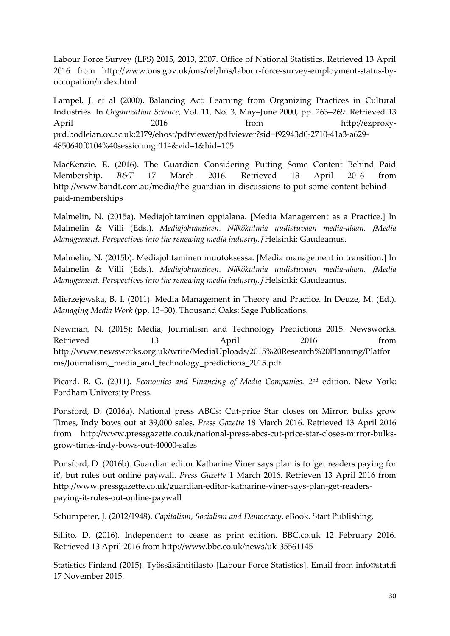Labour Force Survey (LFS) 2015, 2013, 2007. Office of National Statistics. Retrieved 13 April 2016 from http://www.ons.gov.uk/ons/rel/lms/labour-force-survey-employment-status-byoccupation/index.html

Lampel, J. et al (2000). Balancing Act: Learning from Organizing Practices in Cultural Industries. In *Organization Science*, Vol. 11, No. 3, May–June 2000, pp. 263–269. Retrieved 13 April 2016 **from** http://ezproxyprd.bodleian.ox.ac.uk:2179/ehost/pdfviewer/pdfviewer?sid=f92943d0-2710-41a3-a629- 4850640f0104%40sessionmgr114&vid=1&hid=105

MacKenzie, E. (2016). The Guardian Considering Putting Some Content Behind Paid Membership. *B&T* 17 March 2016. Retrieved 13 April 2016 from http://www.bandt.com.au/media/the-guardian-in-discussions-to-put-some-content-behindpaid-memberships

Malmelin, N. (2015a). Mediajohtaminen oppialana. [Media Management as a Practice.] In Malmelin & Villi (Eds.). *Mediajohtaminen. Näkökulmia uudistuvaan media-alaan. Media Management. Perspectives into the renewing media industry.* Helsinki: Gaudeamus.

Malmelin, N. (2015b). Mediajohtaminen muutoksessa. Media management in transition. In Malmelin & Villi (Eds.). *Mediajohtaminen. Näkökulmia uudistuvaan media-alaan. Media Management. Perspectives into the renewing media industry.* Helsinki: Gaudeamus.

Mierzejewska, B. I. (2011). Media Management in Theory and Practice. In Deuze, M. (Ed.). *Managing Media Work* (pp. 13–30). Thousand Oaks: Sage Publications.

Newman, N. (2015): Media, Journalism and Technology Predictions 2015. Newsworks. Retrieved 13 April 2016 from http://www.newsworks.org.uk/write/MediaUploads/2015%20Research%20Planning/Platfor ms/Journalism,\_media\_and\_technology\_predictions\_2015.pdf

Picard, R. G. (2011). *Economics and Financing of Media Companies.* 2 nd edition. New York: Fordham University Press.

Ponsford, D. (2016a). National press ABCs: Cut-price Star closes on Mirror, bulks grow Times, Indy bows out at 39,000 sales. *Press Gazette* 18 March 2016. Retrieved 13 April 2016 from http://www.pressgazette.co.uk/national-press-abcs-cut-price-star-closes-mirror-bulksgrow-times-indy-bows-out-40000-sales

Ponsford, D. (2016b). Guardian editor Katharine Viner says plan is to 'get readers paying for it', but rules out online paywall. *Press Gazette* 1 March 2016. Retrieven 13 April 2016 from http://www.pressgazette.co.uk/guardian-editor-katharine-viner-says-plan-get-readerspaying-it-rules-out-online-paywall

Schumpeter, J. (2012/1948). *Capitalism, Socialism and Democracy*. eBook. Start Publishing.

Sillito, D. (2016). Independent to cease as print edition. BBC.co.uk 12 February 2016. Retrieved 13 April 2016 from http://www.bbc.co.uk/news/uk-35561145

Statistics Finland (2015). Työssäkäntitilasto [Labour Force Statistics]. Email from info@stat.fi 17 November 2015.